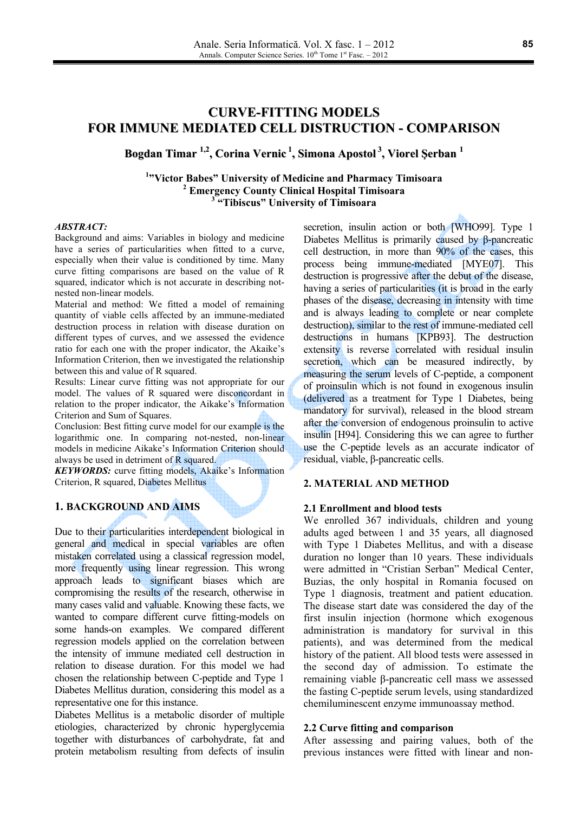# **CURVE-FITTING MODELS FOR IMMUNE MEDIATED CELL DISTRUCTION - COMPARISON**

# Bogdan Timar <sup>1,2</sup>, Corina Vernic<sup>1</sup>, Simona Apostol<sup>3</sup>, Viorel Serban<sup>1</sup>

<sup>1</sup>"Victor Babes" University of Medicine and Pharmacy Timisoara <sup>2</sup> Emergency County Clinical Hospital Timisoara <sup>3</sup>"Tibiscus" University of Timisoara

## **ABSTRACT:**

Background and aims: Variables in biology and medicine have a series of particularities when fitted to a curve, especially when their value is conditioned by time. Many curve fitting comparisons are based on the value of R squared, indicator which is not accurate in describing notnested non-linear models.

Material and method: We fitted a model of remaining quantity of viable cells affected by an immune-mediated destruction process in relation with disease duration on different types of curves, and we assessed the evidence ratio for each one with the proper indicator, the Akaike's Information Criterion, then we investigated the relationship between this and value of R squared.

Results: Linear curve fitting was not appropriate for our model. The values of R squared were disconcordant in relation to the proper indicator, the Aikake's Information Criterion and Sum of Squares.

Conclusion: Best fitting curve model for our example is the logarithmic one. In comparing not-nested, non-linear models in medicine Aikake's Information Criterion should always be used in detriment of R squared.

**KEYWORDS:** curve fitting models, Akaike's Information Criterion, R squared, Diabetes Mellitus

# **1. BACKGROUND AND AIMS**

Due to their particularities interdependent biological in general and medical in special variables are often mistaken correlated using a classical regression model, more frequently using linear regression. This wrong approach leads to significant biases which are compromising the results of the research, otherwise in many cases valid and valuable. Knowing these facts, we wanted to compare different curve fitting-models on some hands-on examples. We compared different regression models applied on the correlation between the intensity of immune mediated cell destruction in relation to disease duration. For this model we had chosen the relationship between C-peptide and Type 1 Diabetes Mellitus duration, considering this model as a representative one for this instance.

Diabetes Mellitus is a metabolic disorder of multiple etiologies, characterized by chronic hyperglycemia together with disturbances of carbohydrate, fat and protein metabolism resulting from defects of insulin secretion, insulin action or both [WHO99]. Type 1 Diabetes Mellitus is primarily caused by  $\beta$ -pancreatic cell destruction, in more than 90% of the cases, this process being immune-mediated [MYE07]. This destruction is progressive after the debut of the disease. having a series of particularities (it is broad in the early phases of the disease, decreasing in intensity with time and is always leading to complete or near complete destruction), similar to the rest of immune-mediated cell destructions in humans [KPB93]. The destruction extensity is reverse correlated with residual insulin secretion, which can be measured indirectly, by measuring the serum levels of C-peptide, a component of proinsulin which is not found in exogenous insulin (delivered as a treatment for Type 1 Diabetes, being mandatory for survival), released in the blood stream after the conversion of endogenous proinsulin to active insulin [H94]. Considering this we can agree to further use the C-peptide levels as an accurate indicator of residual, viable, β-pancreatic cells.

## 2. MATERIAL AND METHOD

### 2.1 Enrollment and blood tests

We enrolled 367 individuals, children and young adults aged between 1 and 35 years, all diagnosed with Type 1 Diabetes Mellitus, and with a disease duration no longer than 10 years. These individuals were admitted in "Cristian Serban" Medical Center, Buzias, the only hospital in Romania focused on Type 1 diagnosis, treatment and patient education. The disease start date was considered the day of the first insulin injection (hormone which exogenous administration is mandatory for survival in this patients), and was determined from the medical history of the patient. All blood tests were assessed in the second day of admission. To estimate the remaining viable β-pancreatic cell mass we assessed the fasting C-peptide serum levels, using standardized chemiluminescent enzyme immunoassay method.

#### 2.2 Curve fitting and comparison

After assessing and pairing values, both of the previous instances were fitted with linear and non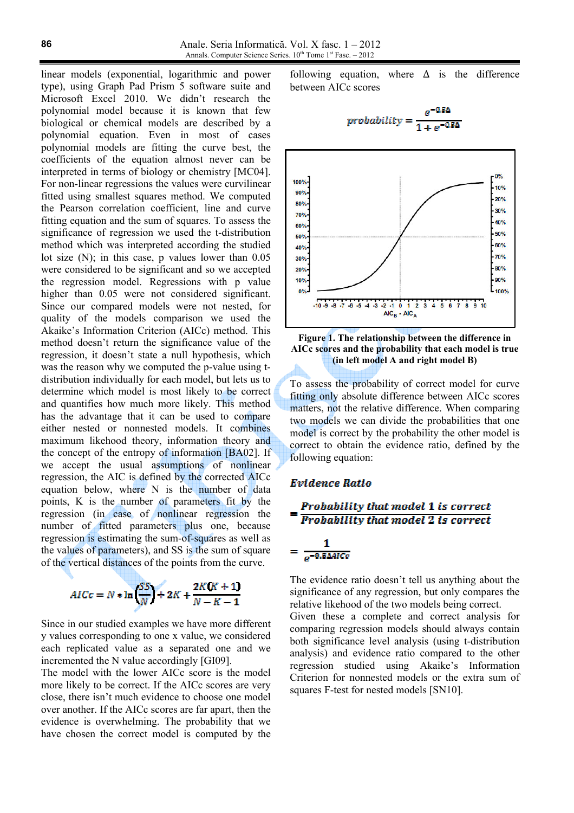linear models (exponential, logarithmic and power type), using Graph Pad Prism 5 software suite and Microsoft Excel 2010. We didn't research the polynomial model because it is known that few biological or chemical models are described by a polynomial equation. Even in most of cases polynomial models are fitting the curve best, the coefficients of the equation almost never can be interpreted in terms of biology or chemistry [MC04]. For non-linear regressions the values were curvilinear fitted using smallest squares method. We computed the Pearson correlation coefficient, line and curve fitting equation and the sum of squares. To assess the significance of regression we used the t-distribution method which was interpreted according the studied lot size  $(N)$ ; in this case, p values lower than 0.05 were considered to be significant and so we accepted the regression model. Regressions with p value higher than 0.05 were not considered significant. Since our compared models were not nested, for quality of the models comparison we used the Akaike's Information Criterion (AICc) method. This method doesn't return the significance value of the regression, it doesn't state a null hypothesis, which was the reason why we computed the p-value using tdistribution individually for each model, but lets us to determine which model is most likely to be correct and quantifies how much more likely. This method has the advantage that it can be used to compare either nested or nonnested models. It combines maximum likehood theory, information theory and the concept of the entropy of information [BA02]. If we accept the usual assumptions of nonlinear regression, the AIC is defined by the corrected AICc equation below, where N is the number of data points, K is the number of parameters fit by the regression (in case of nonlinear regression the number of fitted parameters plus one, because regression is estimating the sum-of-squares as well as the values of parameters), and SS is the sum of square of the vertical distances of the points from the curve.

$$
AICc = N * \ln\left(\frac{SS}{N}\right) + 2K + \frac{2K(K+1)}{N-K-1}
$$

Since in our studied examples we have more different y values corresponding to one x value, we considered each replicated value as a separated one and we incremented the N value accordingly [GI09].

The model with the lower AICc score is the model more likely to be correct. If the AICc scores are very close, there isn't much evidence to choose one model over another. If the AICc scores are far apart, then the evidence is overwhelming. The probability that we have chosen the correct model is computed by the

where  $\Lambda$  is the difference following equation, between AICc scores

$$
probability = \frac{e^{-0.5\Delta}}{1 + e^{-0.5\Delta}}
$$



Figure 1. The relationship between the difference in AICc scores and the probability that each model is true (in left model A and right model B)

To assess the probability of correct model for curve fitting only absolute difference between AICc scores matters, not the relative difference. When comparing two models we can divide the probabilities that one model is correct by the probability the other model is correct to obtain the evidence ratio, defined by the following equation:

#### **Evidence Ratio**

$$
= \frac{Probability that model 1 is correct}{Probability that model 2 is correct}
$$

$$
= \frac{1}{e^{-0.5\text{AMCc}}}
$$

The evidence ratio doesn't tell us anything about the significance of any regression, but only compares the relative likehood of the two models being correct.

Given these a complete and correct analysis for comparing regression models should always contain both significance level analysis (using t-distribution analysis) and evidence ratio compared to the other regression studied using Akaike's Information Criterion for nonnested models or the extra sum of squares F-test for nested models [SN10].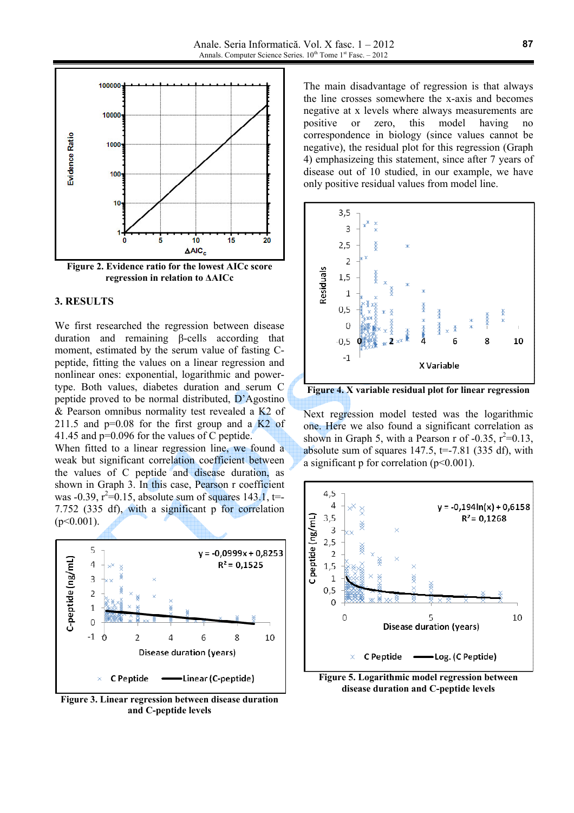

# 3. RESULTS

We first researched the regression between disease duration and remaining B-cells according that moment, estimated by the serum value of fasting Cpeptide, fitting the values on a linear regression and nonlinear ones: exponential, logarithmic and powertype. Both values, diabetes duration and serum C peptide proved to be normal distributed, D'Agostino & Pearson omnibus normality test revealed a K2 of 211.5 and  $p=0.08$  for the first group and a  $K2$  of 41.45 and  $p=0.096$  for the values of C peptide.

When fitted to a linear regression line, we found a weak but significant correlation coefficient between the values of C peptide and disease duration, as shown in Graph 3. In this case, Pearson r coefficient was -0.39,  $r^2$ =0.15, absolute sum of squares 143.1, t=-7.752 (335 df), with a significant p for correlation  $(p<0.001)$ .



Figure 3. Linear regression between disease duration and C-peptide levels

The main disadvantage of regression is that always the line crosses somewhere the x-axis and becomes negative at x levels where always measurements are positive  $\alpha$ zero, this model having no correspondence in biology (since values cannot be negative), the residual plot for this regression (Graph) 4) emphasizeing this statement, since after 7 years of disease out of 10 studied, in our example, we have only positive residual values from model line.



Figure 4. X variable residual plot for linear regression

Next regression model tested was the logarithmic one. Here we also found a significant correlation as shown in Graph 5, with a Pearson r of -0.35,  $r^2=0.13$ , absolute sum of squares 147.5,  $t=-7.81$  (335 df), with a significant p for correlation  $(p<0.001)$ .



disease duration and C-peptide levels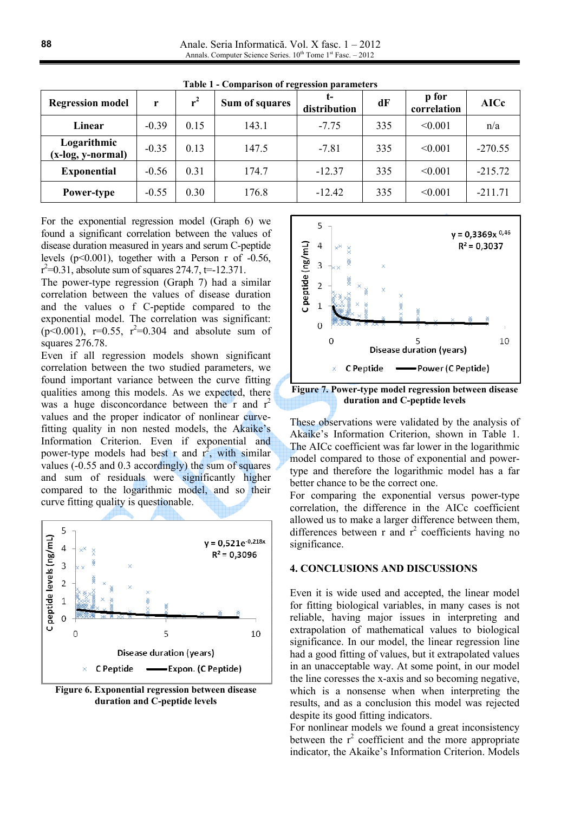Anale. Seria Informatică. Vol. X fasc. 1 – 2012 Annals. Computer Science Series. 10<sup>th</sup> Tome 1<sup>st</sup> Fasc. - 2012

| <b>Regression model</b>            | r       | $r^2$ | Sum of squares | t-<br>distribution | dF  | p for<br>correlation | <b>AICc</b> |
|------------------------------------|---------|-------|----------------|--------------------|-----|----------------------|-------------|
| Linear                             | $-0.39$ | 0.15  | 143.1          | $-7.75$            | 335 | < 0.001              | n/a         |
| Logarithmic<br>$(x-log, y-normal)$ | $-0.35$ | 0.13  | 147.5          | $-7.81$            | 335 | < 0.001              | $-270.55$   |
| <b>Exponential</b>                 | $-0.56$ | 0.31  | 174.7          | $-12.37$           | 335 | < 0.001              | $-215.72$   |
| Power-type                         | $-0.55$ | 0.30  | 176.8          | $-12.42$           | 335 | < 0.001              | $-211.71$   |

Table 1 - Comnarison of regression narameters

For the exponential regression model (Graph 6) we found a significant correlation between the values of disease duration measured in years and serum C-peptide levels  $(p<0.001)$ , together with a Person r of -0.56,  $r^2$ =0.31, absolute sum of squares 274.7, t=-12.371.

The power-type regression (Graph 7) had a similar correlation between the values of disease duration and the values o f C-peptide compared to the exponential model. The correlation was significant:  $(p<0.001)$ , r=0.55, r<sup>2</sup>=0.304 and absolute sum of squares 276.78.

Even if all regression models shown significant correlation between the two studied parameters, we found important variance between the curve fitting qualities among this models. As we expected, there was a huge disconcordance between the r and  $r^2$ values and the proper indicator of nonlinear curvefitting quality in non nested models, the Akaike's Information Criterion. Even if exponential and power-type models had best r and  $r^2$ , with similar values (-0.55 and 0.3 accordingly) the sum of squares and sum of residuals were significantly higher compared to the logarithmic model, and so their curve fitting quality is questionable.



Figure 6. Exponential regression between disease duration and C-peptide levels



Figure 7. Power-type model regression between disease duration and C-peptide levels

These observations were validated by the analysis of Akaike's Information Criterion, shown in Table 1. The AICc coefficient was far lower in the logarithmic model compared to those of exponential and powertype and therefore the logarithmic model has a far better chance to be the correct one.

For comparing the exponential versus power-type correlation, the difference in the AICc coefficient allowed us to make a larger difference between them. differences between r and  $r^2$  coefficients having no significance.

### **4. CONCLUSIONS AND DISCUSSIONS**

Even it is wide used and accepted, the linear model for fitting biological variables, in many cases is not reliable, having major issues in interpreting and extrapolation of mathematical values to biological significance. In our model, the linear regression line had a good fitting of values, but it extrapolated values in an unacceptable way. At some point, in our model the line coresses the x-axis and so becoming negative, which is a nonsense when when interpreting the results, and as a conclusion this model was rejected despite its good fitting indicators.

For nonlinear models we found a great inconsistency between the  $r^2$  coefficient and the more appropriate indicator, the Akaike's Information Criterion. Models